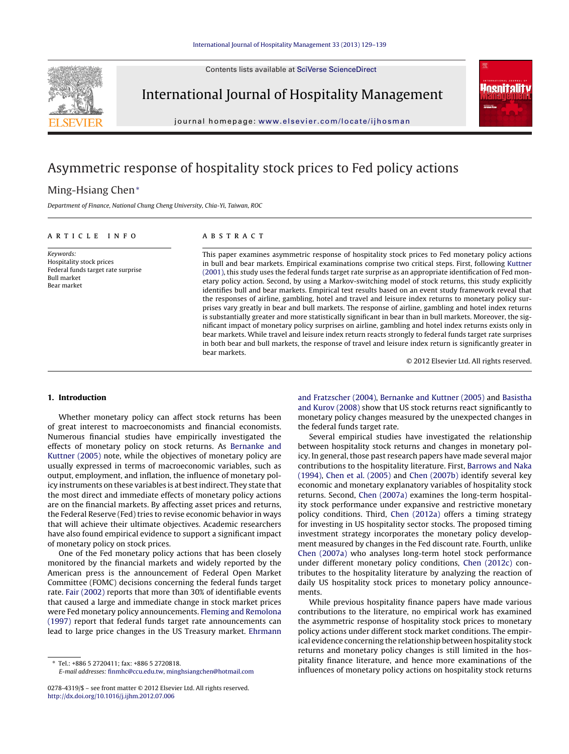Contents lists available at [SciVerse ScienceDirect](http://www.sciencedirect.com/science/journal/02784319)



International Journal of Hospitality Management



journal homepage: [www.elsevier.com/locate/ijhosman](http://www.elsevier.com/locate/ijhosman)

## Asymmetric response of hospitality stock prices to Fed policy actions

### Ming-Hsiang Chen<sup>∗</sup>

Department of Finance, National Chung Cheng University, Chia-Yi, Taiwan, ROC

#### article info

Keywords: Hospitality stock prices Federal funds target rate surprise Bull market Bear market

#### ABSTRACT

This paper examines asymmetric response of hospitality stock prices to Fed monetary policy actions in bull and bear markets. Empirical examinations comprise two critical steps. First, following [Kuttner](#page--1-0) [\(2001\), t](#page--1-0)his study uses the federal funds target rate surprise as an appropriate identification of Fed monetary policy action. Second, by using a Markov-switching model of stock returns, this study explicitly identifies bull and bear markets. Empirical test results based on an event study framework reveal that the responses of airline, gambling, hotel and travel and leisure index returns to monetary policy surprises vary greatly in bear and bull markets. The response of airline, gambling and hotel index returns is substantially greater and more statistically significant in bear than in bull markets. Moreover, the significant impact of monetary policy surprises on airline, gambling and hotel index returns exists only in bear markets. While travel and leisure index return reacts strongly to federal funds target rate surprises in both bear and bull markets, the response of travel and leisure index return is significantly greater in bear markets.

© 2012 Elsevier Ltd. All rights reserved.

#### **1. Introduction**

Whether monetary policy can affect stock returns has been of great interest to macroeconomists and financial economists. Numerous financial studies have empirically investigated the effects of monetary policy on stock returns. As [Bernanke and](#page--1-0) [Kuttner \(2005\)](#page--1-0) note, while the objectives of monetary policy are usually expressed in terms of macroeconomic variables, such as output, employment, and inflation, the influence of monetary policy instruments on these variables is at best indirect. They state that the most direct and immediate effects of monetary policy actions are on the financial markets. By affecting asset prices and returns, the Federal Reserve (Fed) tries to revise economic behavior in ways that will achieve their ultimate objectives. Academic researchers have also found empirical evidence to support a significant impact of monetary policy on stock prices.

One of the Fed monetary policy actions that has been closely monitored by the financial markets and widely reported by the American press is the announcement of Federal Open Market Committee (FOMC) decisions concerning the federal funds target rate. [Fair \(2002\)](#page--1-0) reports that more than 30% of identifiable events that caused a large and immediate change in stock market prices were Fed monetary policy announcements. [Fleming and Remolona](#page--1-0) [\(1997\)](#page--1-0) report that federal funds target rate announcements can lead to large price changes in the US Treasury market. [Ehrmann](#page--1-0)

[and Fratzscher \(2004\),](#page--1-0) [Bernanke and Kuttner \(2005\)](#page--1-0) and [Basistha](#page--1-0) [and Kurov \(2008\)](#page--1-0) show that US stock returns react significantly to monetary policy changes measured by the unexpected changes in the federal funds target rate.

Several empirical studies have investigated the relationship between hospitality stock returns and changes in monetary policy. In general, those past research papers have made several major contributions to the hospitality literature. First, [Barrows and Naka](#page--1-0) [\(1994\),](#page--1-0) [Chen et al. \(2005\)](#page--1-0) and [Chen \(2007b\)](#page--1-0) identify several key economic and monetary explanatory variables of hospitality stock returns. Second, [Chen \(2007a\)](#page--1-0) examines the long-term hospitality stock performance under expansive and restrictive monetary policy conditions. Third, [Chen \(2012a\)](#page--1-0) offers a timing strategy for investing in US hospitality sector stocks. The proposed timing investment strategy incorporates the monetary policy development measured by changes in the Fed discount rate. Fourth, unlike [Chen \(2007a\)](#page--1-0) who analyses long-term hotel stock performance under different monetary policy conditions, [Chen \(2012c\)](#page--1-0) contributes to the hospitality literature by analyzing the reaction of daily US hospitality stock prices to monetary policy announcements.

While previous hospitality finance papers have made various contributions to the literature, no empirical work has examined the asymmetric response of hospitality stock prices to monetary policy actions under different stock market conditions. The empirical evidence concerning the relationship between hospitality stock returns and monetary policy changes is still limited in the hospitality finance literature, and hence more examinations of the influences of monetary policy actions on hospitality stock returns

<sup>∗</sup> Tel.: +886 5 2720411; fax: +886 5 2720818. E-mail addresses: [finmhc@ccu.edu.tw](mailto:finmhc@ccu.edu.tw), [minghsiangchen@hotmail.com](mailto:minghsiangchen@hotmail.com)

<sup>0278-4319/\$ –</sup> see front matter © 2012 Elsevier Ltd. All rights reserved. [http://dx.doi.org/10.1016/j.ijhm.2012.07.006](dx.doi.org/10.1016/j.ijhm.2012.07.006)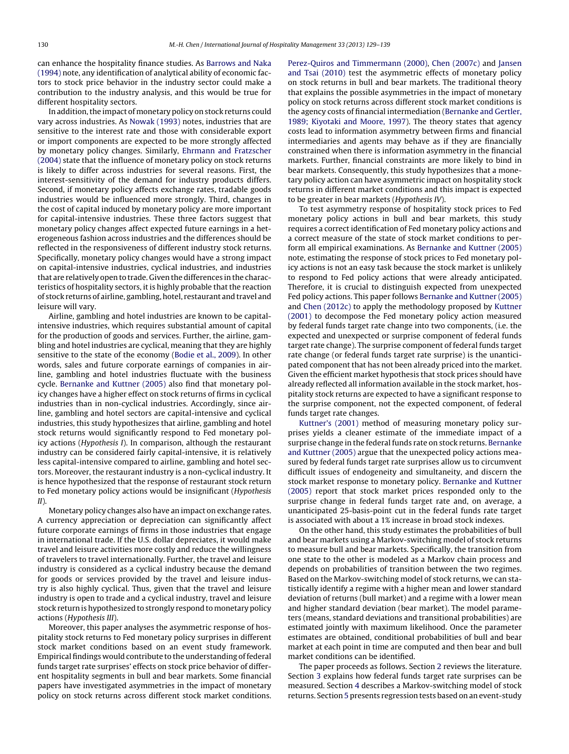can enhance the hospitality finance studies. As [Barrows and Naka](#page--1-0) [\(1994\)](#page--1-0) note, any identification of analytical ability of economic factors to stock price behavior in the industry sector could make a contribution to the industry analysis, and this would be true for different hospitality sectors.

In addition, the impact of monetary policy on stock returns could vary across industries. As [Nowak \(1993\)](#page--1-0) notes, industries that are sensitive to the interest rate and those with considerable export or import components are expected to be more strongly affected by monetary policy changes. Similarly, [Ehrmann and Fratzscher](#page--1-0) [\(2004\)](#page--1-0) state that the influence of monetary policy on stock returns is likely to differ across industries for several reasons. First, the interest-sensitivity of the demand for industry products differs. Second, if monetary policy affects exchange rates, tradable goods industries would be influenced more strongly. Third, changes in the cost of capital induced by monetary policy are more important for capital-intensive industries. These three factors suggest that monetary policy changes affect expected future earnings in a heterogeneous fashion across industries and the differences should be reflected in the responsiveness of different industry stock returns. Specifically, monetary policy changes would have a strong impact on capital-intensive industries, cyclical industries, and industries that are relatively open to trade. Given the differences in the characteristics of hospitality sectors, it is highly probable that the reaction of stock returns of airline, gambling, hotel, restaurant and travel and leisure will vary.

Airline, gambling and hotel industries are known to be capitalintensive industries, which requires substantial amount of capital for the production of goods and services. Further, the airline, gambling and hotel industries are cyclical, meaning that they are highly sensitive to the state of the economy [\(Bodie et al., 2009\).](#page--1-0) In other words, sales and future corporate earnings of companies in airline, gambling and hotel industries fluctuate with the business cycle. [Bernanke and Kuttner \(2005\)](#page--1-0) also find that monetary policy changes have a higher effect on stock returns of firms in cyclical industries than in non-cyclical industries. Accordingly, since airline, gambling and hotel sectors are capital-intensive and cyclical industries, this study hypothesizes that airline, gambling and hotel stock returns would significantly respond to Fed monetary policy actions (Hypothesis I). In comparison, although the restaurant industry can be considered fairly capital-intensive, it is relatively less capital-intensive compared to airline, gambling and hotel sectors. Moreover, the restaurant industry is a non-cyclical industry. It is hence hypothesized that the response of restaurant stock return to Fed monetary policy actions would be insignificant (Hypothesis II).

Monetary policy changes also have an impact on exchange rates. A currency appreciation or depreciation can significantly affect future corporate earnings of firms in those industries that engage in international trade. If the U.S. dollar depreciates, it would make travel and leisure activities more costly and reduce the willingness of travelers to travel internationally. Further, the travel and leisure industry is considered as a cyclical industry because the demand for goods or services provided by the travel and leisure industry is also highly cyclical. Thus, given that the travel and leisure industry is open to trade and a cyclical industry, travel and leisure stock return is hypothesized to strongly respond to monetary policy actions (Hypothesis III).

Moreover, this paper analyses the asymmetric response of hospitality stock returns to Fed monetary policy surprises in different stock market conditions based on an event study framework. Empirical findings would contribute to the understanding of federal funds target rate surprises' effects on stock price behavior of different hospitality segments in bull and bear markets. Some financial papers have investigated asymmetries in the impact of monetary policy on stock returns across different stock market conditions.

[Perez-Quiros and Timmermann \(2000\),](#page--1-0) [Chen \(2007c\)](#page--1-0) and [Jansen](#page--1-0) [and Tsai \(2010\)](#page--1-0) test the asymmetric effects of monetary policy on stock returns in bull and bear markets. The traditional theory that explains the possible asymmetries in the impact of monetary policy on stock returns across different stock market conditions is the agency costs of financial intermediation [\(Bernanke and Gertler,](#page--1-0) [1989; Kiyotaki and Moore, 1997\).](#page--1-0) The theory states that agency costs lead to information asymmetry between firms and financial intermediaries and agents may behave as if they are financially constrained when there is information asymmetry in the financial markets. Further, financial constraints are more likely to bind in bear markets. Consequently, this study hypothesizes that a monetary policy action can have asymmetric impact on hospitality stock returns in different market conditions and this impact is expected to be greater in bear markets (Hypothesis IV).

To test asymmetry response of hospitality stock prices to Fed monetary policy actions in bull and bear markets, this study requires a correct identification of Fed monetary policy actions and a correct measure of the state of stock market conditions to perform all empirical examinations. As [Bernanke and Kuttner \(2005\)](#page--1-0) note, estimating the response of stock prices to Fed monetary policy actions is not an easy task because the stock market is unlikely to respond to Fed policy actions that were already anticipated. Therefore, it is crucial to distinguish expected from unexpected Fed policy actions. This paper follows [Bernanke and Kuttner \(2005\)](#page--1-0) and [Chen \(2012c\)](#page--1-0) to apply the methodology proposed by [Kuttner](#page--1-0) [\(2001\)](#page--1-0) to decompose the Fed monetary policy action measured by federal funds target rate change into two components, (i.e. the expected and unexpected or surprise component of federal funds target rate change). The surprise component of federal funds target rate change (or federal funds target rate surprise) is the unanticipated component that has not been already priced into the market. Given the efficient market hypothesis that stock prices should have already reflected all information available in the stock market, hospitality stock returns are expected to have a significant response to the surprise component, not the expected component, of federal funds target rate changes.

[Kuttner's \(2001\)](#page--1-0) method of measuring monetary policy surprises yields a cleaner estimate of the immediate impact of a surprise change in the federal funds rate on stock returns. [Bernanke](#page--1-0) [and Kuttner \(2005\)](#page--1-0) argue that the unexpected policy actions measured by federal funds target rate surprises allow us to circumvent difficult issues of endogeneity and simultaneity, and discern the stock market response to monetary policy. [Bernanke and Kuttner](#page--1-0) [\(2005\)](#page--1-0) report that stock market prices responded only to the surprise change in federal funds target rate and, on average, a unanticipated 25-basis-point cut in the federal funds rate target is associated with about a 1% increase in broad stock indexes.

On the other hand, this study estimates the probabilities of bull and bear markets using a Markov-switching model of stock returns to measure bull and bear markets. Specifically, the transition from one state to the other is modeled as a Markov chain process and depends on probabilities of transition between the two regimes. Based on the Markov-switching model of stock returns, we can statistically identify a regime with a higher mean and lower standard deviation of returns (bull market) and a regime with a lower mean and higher standard deviation (bear market). The model parameters (means, standard deviations and transitional probabilities) are estimated jointly with maximum likelihood. Once the parameter estimates are obtained, conditional probabilities of bull and bear market at each point in time are computed and then bear and bull market conditions can be identified.

The paper proceeds as follows. Section [2](#page--1-0) reviews the literature. Section [3](#page--1-0) explains how federal funds target rate surprises can be measured. Section [4](#page--1-0) describes a Markov-switching model of stock returns. Section [5](#page--1-0) presents regression tests based on an event-study